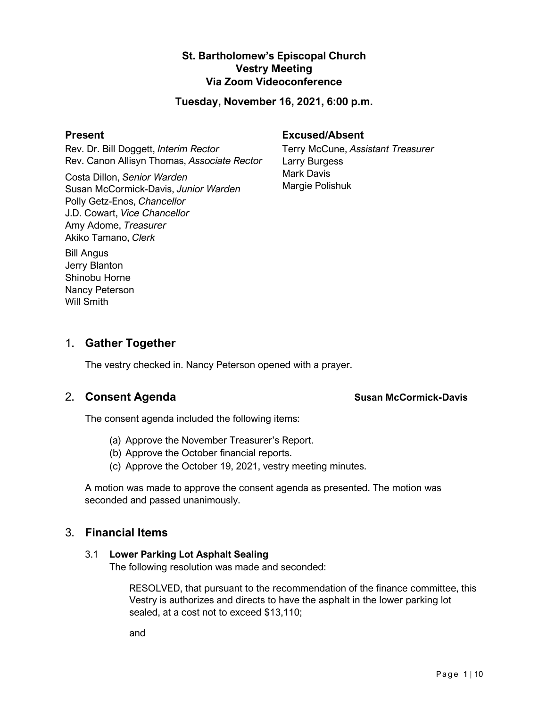# **St. Bartholomew's Episcopal Church Vestry Meeting Via Zoom Videoconference**

### **Tuesday, November 16, 2021, 6:00 p.m.**

#### **Present**

Rev. Dr. Bill Doggett, *Interim Rector* Rev. Canon Allisyn Thomas, *Associate Rector*

Costa Dillon, *Senior Warden* Susan McCormick-Davis, *Junior Warden* Polly Getz-Enos, *Chancellor* J.D. Cowart, *Vice Chancellor* Amy Adome, *Treasurer* Akiko Tamano, *Clerk*

### **Excused/Absent**

Terry McCune, *Assistant Treasurer* Larry Burgess Mark Davis Margie Polishuk

Bill Angus Jerry Blanton Shinobu Horne Nancy Peterson Will Smith

# 1. **Gather Together**

The vestry checked in. Nancy Peterson opened with a prayer.

The consent agenda included the following items:

- (a) Approve the November Treasurer's Report.
- (b) Approve the October financial reports.
- (c) Approve the October 19, 2021, vestry meeting minutes.

A motion was made to approve the consent agenda as presented. The motion was seconded and passed unanimously.

# 3. **Financial Items**

### 3.1 **Lower Parking Lot Asphalt Sealing**

The following resolution was made and seconded:

RESOLVED, that pursuant to the recommendation of the finance committee, this Vestry is authorizes and directs to have the asphalt in the lower parking lot sealed, at a cost not to exceed \$13,110;

and

### 2. Consent Agenda **Susan McCormick-Davis** Susan McCormick-Davis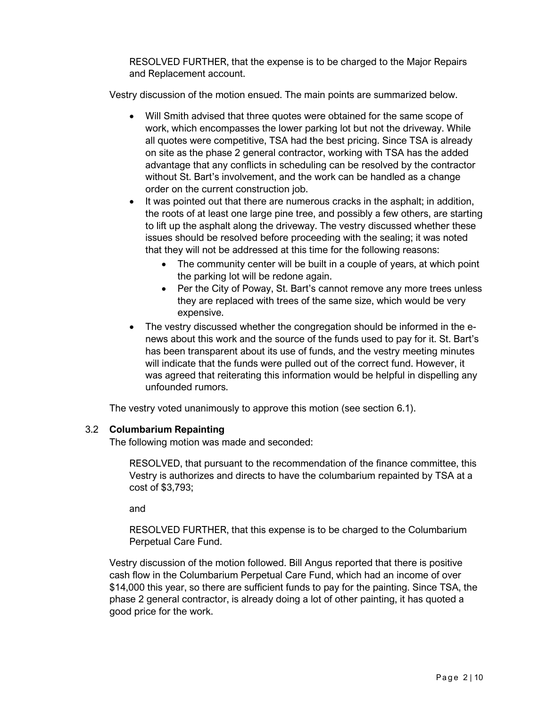RESOLVED FURTHER, that the expense is to be charged to the Major Repairs and Replacement account.

Vestry discussion of the motion ensued. The main points are summarized below.

- Will Smith advised that three quotes were obtained for the same scope of work, which encompasses the lower parking lot but not the driveway. While all quotes were competitive, TSA had the best pricing. Since TSA is already on site as the phase 2 general contractor, working with TSA has the added advantage that any conflicts in scheduling can be resolved by the contractor without St. Bart's involvement, and the work can be handled as a change order on the current construction job.
- It was pointed out that there are numerous cracks in the asphalt; in addition, the roots of at least one large pine tree, and possibly a few others, are starting to lift up the asphalt along the driveway. The vestry discussed whether these issues should be resolved before proceeding with the sealing; it was noted that they will not be addressed at this time for the following reasons:
	- The community center will be built in a couple of years, at which point the parking lot will be redone again.
	- Per the City of Poway, St. Bart's cannot remove any more trees unless they are replaced with trees of the same size, which would be very expensive.
- The vestry discussed whether the congregation should be informed in the enews about this work and the source of the funds used to pay for it. St. Bart's has been transparent about its use of funds, and the vestry meeting minutes will indicate that the funds were pulled out of the correct fund. However, it was agreed that reiterating this information would be helpful in dispelling any unfounded rumors.

The vestry voted unanimously to approve this motion (see section 6.1).

### 3.2 **Columbarium Repainting**

The following motion was made and seconded:

RESOLVED, that pursuant to the recommendation of the finance committee, this Vestry is authorizes and directs to have the columbarium repainted by TSA at a cost of \$3,793;

and

RESOLVED FURTHER, that this expense is to be charged to the Columbarium Perpetual Care Fund.

Vestry discussion of the motion followed. Bill Angus reported that there is positive cash flow in the Columbarium Perpetual Care Fund, which had an income of over \$14,000 this year, so there are sufficient funds to pay for the painting. Since TSA, the phase 2 general contractor, is already doing a lot of other painting, it has quoted a good price for the work.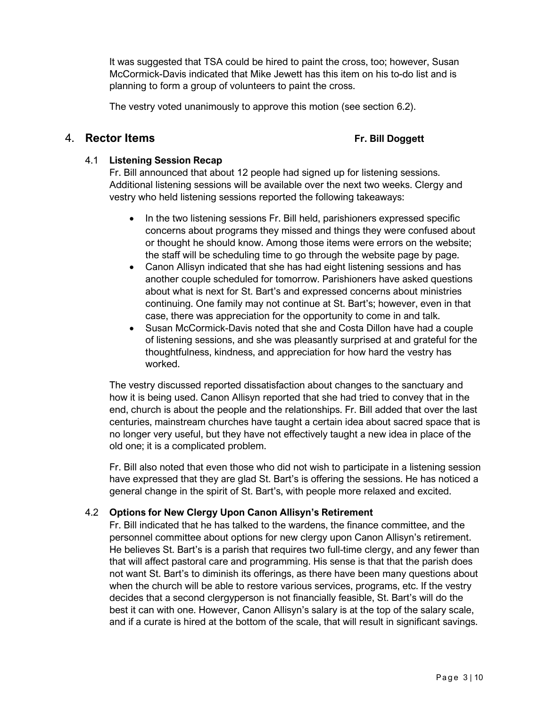It was suggested that TSA could be hired to paint the cross, too; however, Susan McCormick-Davis indicated that Mike Jewett has this item on his to-do list and is planning to form a group of volunteers to paint the cross.

The vestry voted unanimously to approve this motion (see section 6.2).

### 4. **Rector Items Fr. Bill Doggett**

### 4.1 **Listening Session Recap**

Fr. Bill announced that about 12 people had signed up for listening sessions. Additional listening sessions will be available over the next two weeks. Clergy and vestry who held listening sessions reported the following takeaways:

- In the two listening sessions Fr. Bill held, parishioners expressed specific concerns about programs they missed and things they were confused about or thought he should know. Among those items were errors on the website; the staff will be scheduling time to go through the website page by page.
- Canon Allisyn indicated that she has had eight listening sessions and has another couple scheduled for tomorrow. Parishioners have asked questions about what is next for St. Bart's and expressed concerns about ministries continuing. One family may not continue at St. Bart's; however, even in that case, there was appreciation for the opportunity to come in and talk.
- Susan McCormick-Davis noted that she and Costa Dillon have had a couple of listening sessions, and she was pleasantly surprised at and grateful for the thoughtfulness, kindness, and appreciation for how hard the vestry has worked.

The vestry discussed reported dissatisfaction about changes to the sanctuary and how it is being used. Canon Allisyn reported that she had tried to convey that in the end, church is about the people and the relationships. Fr. Bill added that over the last centuries, mainstream churches have taught a certain idea about sacred space that is no longer very useful, but they have not effectively taught a new idea in place of the old one; it is a complicated problem.

Fr. Bill also noted that even those who did not wish to participate in a listening session have expressed that they are glad St. Bart's is offering the sessions. He has noticed a general change in the spirit of St. Bart's, with people more relaxed and excited.

## 4.2 **Options for New Clergy Upon Canon Allisyn's Retirement**

Fr. Bill indicated that he has talked to the wardens, the finance committee, and the personnel committee about options for new clergy upon Canon Allisyn's retirement. He believes St. Bart's is a parish that requires two full-time clergy, and any fewer than that will affect pastoral care and programming. His sense is that that the parish does not want St. Bart's to diminish its offerings, as there have been many questions about when the church will be able to restore various services, programs, etc. If the vestry decides that a second clergyperson is not financially feasible, St. Bart's will do the best it can with one. However, Canon Allisyn's salary is at the top of the salary scale, and if a curate is hired at the bottom of the scale, that will result in significant savings.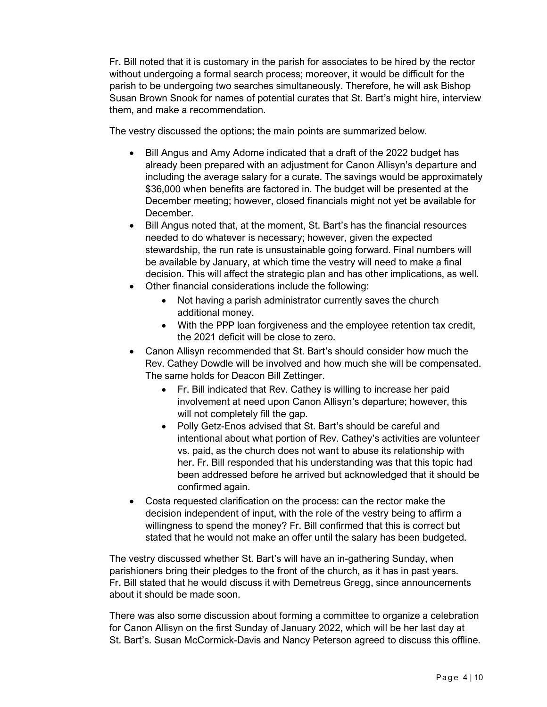Fr. Bill noted that it is customary in the parish for associates to be hired by the rector without undergoing a formal search process; moreover, it would be difficult for the parish to be undergoing two searches simultaneously. Therefore, he will ask Bishop Susan Brown Snook for names of potential curates that St. Bart's might hire, interview them, and make a recommendation.

The vestry discussed the options; the main points are summarized below.

- Bill Angus and Amy Adome indicated that a draft of the 2022 budget has already been prepared with an adjustment for Canon Allisyn's departure and including the average salary for a curate. The savings would be approximately \$36,000 when benefits are factored in. The budget will be presented at the December meeting; however, closed financials might not yet be available for December.
- Bill Angus noted that, at the moment, St. Bart's has the financial resources needed to do whatever is necessary; however, given the expected stewardship, the run rate is unsustainable going forward. Final numbers will be available by January, at which time the vestry will need to make a final decision. This will affect the strategic plan and has other implications, as well.
- Other financial considerations include the following:
	- Not having a parish administrator currently saves the church additional money.
	- With the PPP loan forgiveness and the employee retention tax credit, the 2021 deficit will be close to zero.
- Canon Allisyn recommended that St. Bart's should consider how much the Rev. Cathey Dowdle will be involved and how much she will be compensated. The same holds for Deacon Bill Zettinger.
	- Fr. Bill indicated that Rev. Cathey is willing to increase her paid involvement at need upon Canon Allisyn's departure; however, this will not completely fill the gap.
	- Polly Getz-Enos advised that St. Bart's should be careful and intentional about what portion of Rev. Cathey's activities are volunteer vs. paid, as the church does not want to abuse its relationship with her. Fr. Bill responded that his understanding was that this topic had been addressed before he arrived but acknowledged that it should be confirmed again.
- Costa requested clarification on the process: can the rector make the decision independent of input, with the role of the vestry being to affirm a willingness to spend the money? Fr. Bill confirmed that this is correct but stated that he would not make an offer until the salary has been budgeted.

The vestry discussed whether St. Bart's will have an in-gathering Sunday, when parishioners bring their pledges to the front of the church, as it has in past years. Fr. Bill stated that he would discuss it with Demetreus Gregg, since announcements about it should be made soon.

There was also some discussion about forming a committee to organize a celebration for Canon Allisyn on the first Sunday of January 2022, which will be her last day at St. Bart's. Susan McCormick-Davis and Nancy Peterson agreed to discuss this offline.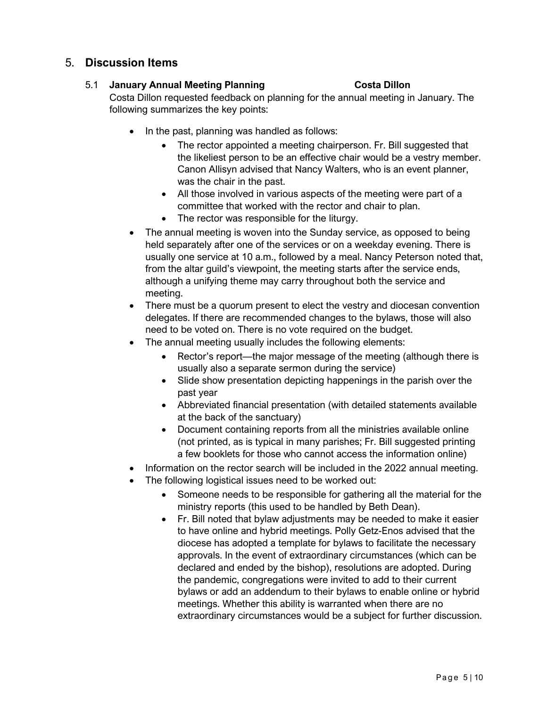# 5. **Discussion Items**

### 5.1 **January Annual Meeting Planning Costa Dillon**

Costa Dillon requested feedback on planning for the annual meeting in January. The following summarizes the key points:

- In the past, planning was handled as follows:
	- The rector appointed a meeting chairperson. Fr. Bill suggested that the likeliest person to be an effective chair would be a vestry member. Canon Allisyn advised that Nancy Walters, who is an event planner, was the chair in the past.
	- All those involved in various aspects of the meeting were part of a committee that worked with the rector and chair to plan.
	- The rector was responsible for the liturgy.
- The annual meeting is woven into the Sunday service, as opposed to being held separately after one of the services or on a weekday evening. There is usually one service at 10 a.m., followed by a meal. Nancy Peterson noted that, from the altar guild's viewpoint, the meeting starts after the service ends, although a unifying theme may carry throughout both the service and meeting.
- There must be a quorum present to elect the vestry and diocesan convention delegates. If there are recommended changes to the bylaws, those will also need to be voted on. There is no vote required on the budget.
- The annual meeting usually includes the following elements:
	- Rector's report—the major message of the meeting (although there is usually also a separate sermon during the service)
	- Slide show presentation depicting happenings in the parish over the past year
	- Abbreviated financial presentation (with detailed statements available at the back of the sanctuary)
	- Document containing reports from all the ministries available online (not printed, as is typical in many parishes; Fr. Bill suggested printing a few booklets for those who cannot access the information online)
- Information on the rector search will be included in the 2022 annual meeting.
- The following logistical issues need to be worked out:
	- Someone needs to be responsible for gathering all the material for the ministry reports (this used to be handled by Beth Dean).
	- Fr. Bill noted that bylaw adjustments may be needed to make it easier to have online and hybrid meetings. Polly Getz-Enos advised that the diocese has adopted a template for bylaws to facilitate the necessary approvals. In the event of extraordinary circumstances (which can be declared and ended by the bishop), resolutions are adopted. During the pandemic, congregations were invited to add to their current bylaws or add an addendum to their bylaws to enable online or hybrid meetings. Whether this ability is warranted when there are no extraordinary circumstances would be a subject for further discussion.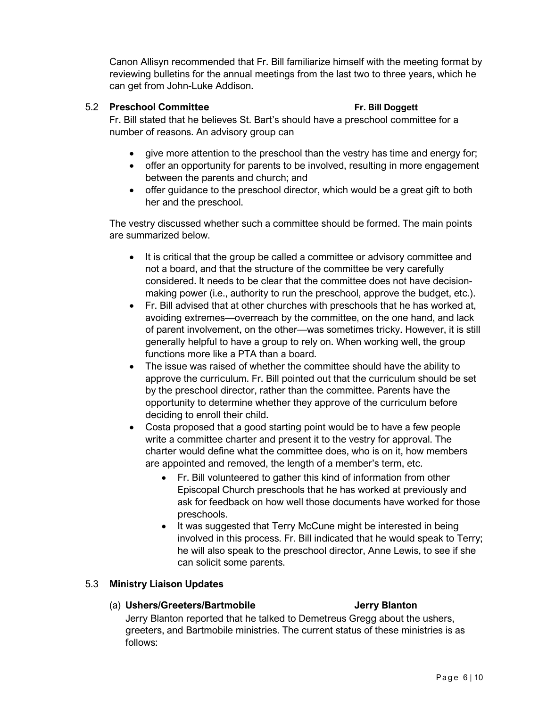Canon Allisyn recommended that Fr. Bill familiarize himself with the meeting format by reviewing bulletins for the annual meetings from the last two to three years, which he can get from John-Luke Addison.

### 5.2 **Preschool Committee Fr. Bill Doggett**

Fr. Bill stated that he believes St. Bart's should have a preschool committee for a number of reasons. An advisory group can

- give more attention to the preschool than the vestry has time and energy for;
- offer an opportunity for parents to be involved, resulting in more engagement between the parents and church; and
- offer guidance to the preschool director, which would be a great gift to both her and the preschool.

The vestry discussed whether such a committee should be formed. The main points are summarized below.

- It is critical that the group be called a committee or advisory committee and not a board, and that the structure of the committee be very carefully considered. It needs to be clear that the committee does not have decisionmaking power (i.e., authority to run the preschool, approve the budget, etc.).
- Fr. Bill advised that at other churches with preschools that he has worked at, avoiding extremes—overreach by the committee, on the one hand, and lack of parent involvement, on the other—was sometimes tricky. However, it is still generally helpful to have a group to rely on. When working well, the group functions more like a PTA than a board.
- The issue was raised of whether the committee should have the ability to approve the curriculum. Fr. Bill pointed out that the curriculum should be set by the preschool director, rather than the committee. Parents have the opportunity to determine whether they approve of the curriculum before deciding to enroll their child.
- Costa proposed that a good starting point would be to have a few people write a committee charter and present it to the vestry for approval. The charter would define what the committee does, who is on it, how members are appointed and removed, the length of a member's term, etc.
	- Fr. Bill volunteered to gather this kind of information from other Episcopal Church preschools that he has worked at previously and ask for feedback on how well those documents have worked for those preschools.
	- It was suggested that Terry McCune might be interested in being involved in this process. Fr. Bill indicated that he would speak to Terry; he will also speak to the preschool director, Anne Lewis, to see if she can solicit some parents.

### 5.3 **Ministry Liaison Updates**

### (a) **Ushers/Greeters/Bartmobile Jerry Blanton**

Jerry Blanton reported that he talked to Demetreus Gregg about the ushers, greeters, and Bartmobile ministries. The current status of these ministries is as follows: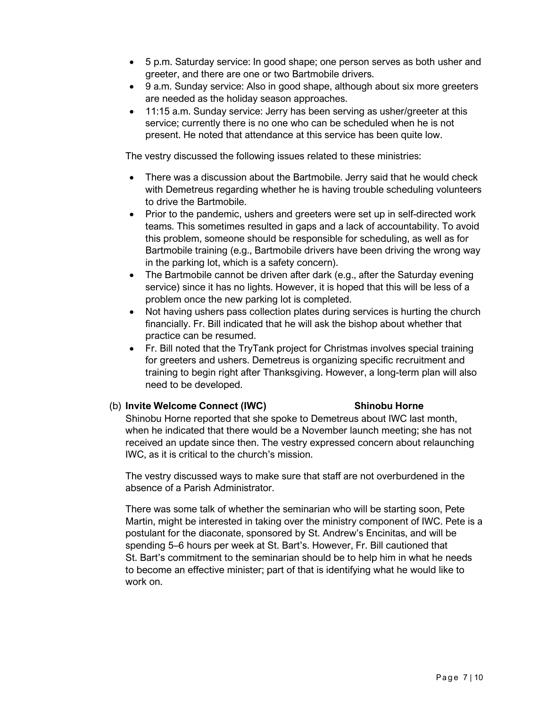- 5 p.m. Saturday service: In good shape; one person serves as both usher and greeter, and there are one or two Bartmobile drivers.
- 9 a.m. Sunday service: Also in good shape, although about six more greeters are needed as the holiday season approaches.
- 11:15 a.m. Sunday service: Jerry has been serving as usher/greeter at this service; currently there is no one who can be scheduled when he is not present. He noted that attendance at this service has been quite low.

The vestry discussed the following issues related to these ministries:

- There was a discussion about the Bartmobile. Jerry said that he would check with Demetreus regarding whether he is having trouble scheduling volunteers to drive the Bartmobile.
- Prior to the pandemic, ushers and greeters were set up in self-directed work teams. This sometimes resulted in gaps and a lack of accountability. To avoid this problem, someone should be responsible for scheduling, as well as for Bartmobile training (e.g., Bartmobile drivers have been driving the wrong way in the parking lot, which is a safety concern).
- The Bartmobile cannot be driven after dark (e.g., after the Saturday evening service) since it has no lights. However, it is hoped that this will be less of a problem once the new parking lot is completed.
- Not having ushers pass collection plates during services is hurting the church financially. Fr. Bill indicated that he will ask the bishop about whether that practice can be resumed.
- Fr. Bill noted that the TryTank project for Christmas involves special training for greeters and ushers. Demetreus is organizing specific recruitment and training to begin right after Thanksgiving. However, a long-term plan will also need to be developed.

### (b) **Invite Welcome Connect (IWC) Shinobu Horne**

Shinobu Horne reported that she spoke to Demetreus about IWC last month, when he indicated that there would be a November launch meeting; she has not received an update since then. The vestry expressed concern about relaunching IWC, as it is critical to the church's mission.

The vestry discussed ways to make sure that staff are not overburdened in the absence of a Parish Administrator.

There was some talk of whether the seminarian who will be starting soon, Pete Martin, might be interested in taking over the ministry component of IWC. Pete is a postulant for the diaconate, sponsored by St. Andrew's Encinitas, and will be spending 5–6 hours per week at St. Bart's. However, Fr. Bill cautioned that St. Bart's commitment to the seminarian should be to help him in what he needs to become an effective minister; part of that is identifying what he would like to work on.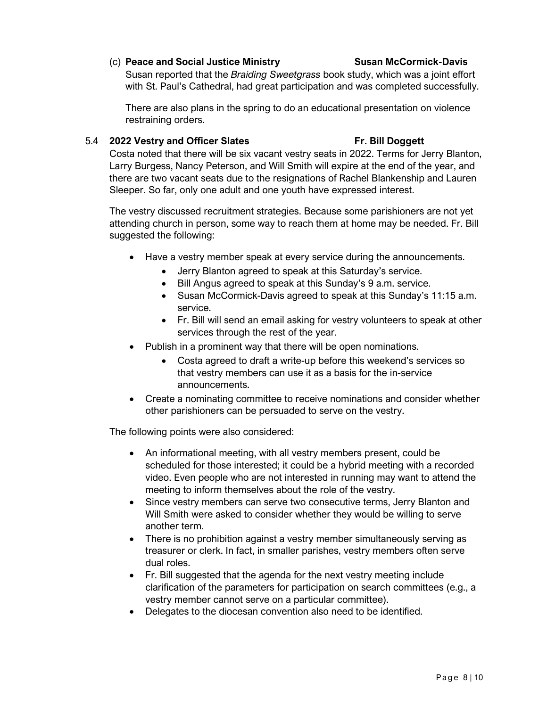### (c) **Peace and Social Justice Ministry Susan McCormick-Davis**

Susan reported that the *Braiding Sweetgrass* book study, which was a joint effort with St. Paul's Cathedral, had great participation and was completed successfully.

There are also plans in the spring to do an educational presentation on violence restraining orders.

#### 5.4 **2022 Vestry and Officer Slates Fr. Bill Doggett**

Costa noted that there will be six vacant vestry seats in 2022. Terms for Jerry Blanton, Larry Burgess, Nancy Peterson, and Will Smith will expire at the end of the year, and there are two vacant seats due to the resignations of Rachel Blankenship and Lauren Sleeper. So far, only one adult and one youth have expressed interest.

The vestry discussed recruitment strategies. Because some parishioners are not yet attending church in person, some way to reach them at home may be needed. Fr. Bill suggested the following:

- Have a vestry member speak at every service during the announcements.
	- Jerry Blanton agreed to speak at this Saturday's service.
	- Bill Angus agreed to speak at this Sunday's 9 a.m. service.
	- Susan McCormick-Davis agreed to speak at this Sunday's 11:15 a.m. service.
	- Fr. Bill will send an email asking for vestry volunteers to speak at other services through the rest of the year.
- Publish in a prominent way that there will be open nominations.
	- Costa agreed to draft a write-up before this weekend's services so that vestry members can use it as a basis for the in-service announcements.
- Create a nominating committee to receive nominations and consider whether other parishioners can be persuaded to serve on the vestry.

The following points were also considered:

- An informational meeting, with all vestry members present, could be scheduled for those interested; it could be a hybrid meeting with a recorded video. Even people who are not interested in running may want to attend the meeting to inform themselves about the role of the vestry.
- Since vestry members can serve two consecutive terms, Jerry Blanton and Will Smith were asked to consider whether they would be willing to serve another term.
- There is no prohibition against a vestry member simultaneously serving as treasurer or clerk. In fact, in smaller parishes, vestry members often serve dual roles.
- Fr. Bill suggested that the agenda for the next vestry meeting include clarification of the parameters for participation on search committees (e.g., a vestry member cannot serve on a particular committee).
- Delegates to the diocesan convention also need to be identified.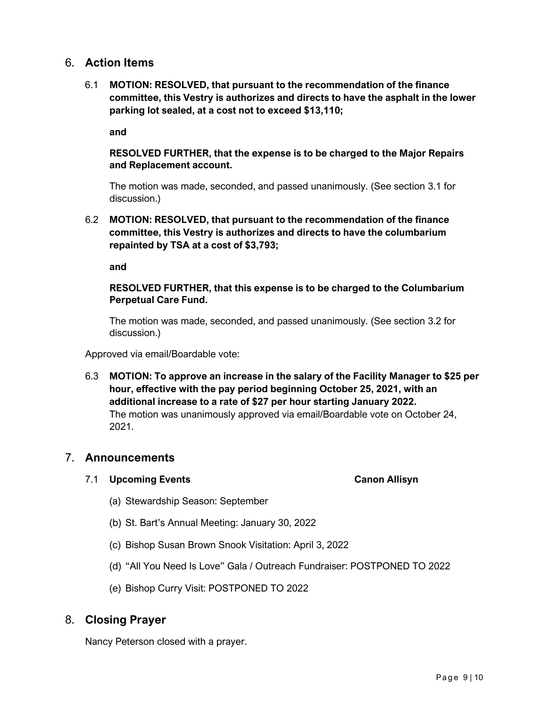# 6. **Action Items**

6.1 **MOTION: RESOLVED, that pursuant to the recommendation of the finance committee, this Vestry is authorizes and directs to have the asphalt in the lower parking lot sealed, at a cost not to exceed \$13,110;**

**and**

### **RESOLVED FURTHER, that the expense is to be charged to the Major Repairs and Replacement account.**

The motion was made, seconded, and passed unanimously. (See section 3.1 for discussion.)

6.2 **MOTION: RESOLVED, that pursuant to the recommendation of the finance committee, this Vestry is authorizes and directs to have the columbarium repainted by TSA at a cost of \$3,793;**

**and**

### **RESOLVED FURTHER, that this expense is to be charged to the Columbarium Perpetual Care Fund.**

The motion was made, seconded, and passed unanimously. (See section 3.2 for discussion.)

Approved via email/Boardable vote:

6.3 **MOTION: To approve an increase in the salary of the Facility Manager to \$25 per hour, effective with the pay period beginning October 25, 2021, with an additional increase to a rate of \$27 per hour starting January 2022.** The motion was unanimously approved via email/Boardable vote on October 24, 2021.

# 7. **Announcements**

### 7.1 **Upcoming Events Canon Allisyn**

- (a) Stewardship Season: September
- (b) St. Bart's Annual Meeting: January 30, 2022
- (c) Bishop Susan Brown Snook Visitation: April 3, 2022
- (d) "All You Need Is Love" Gala / Outreach Fundraiser: POSTPONED TO 2022
- (e) Bishop Curry Visit: POSTPONED TO 2022

# 8. **Closing Prayer**

Nancy Peterson closed with a prayer.